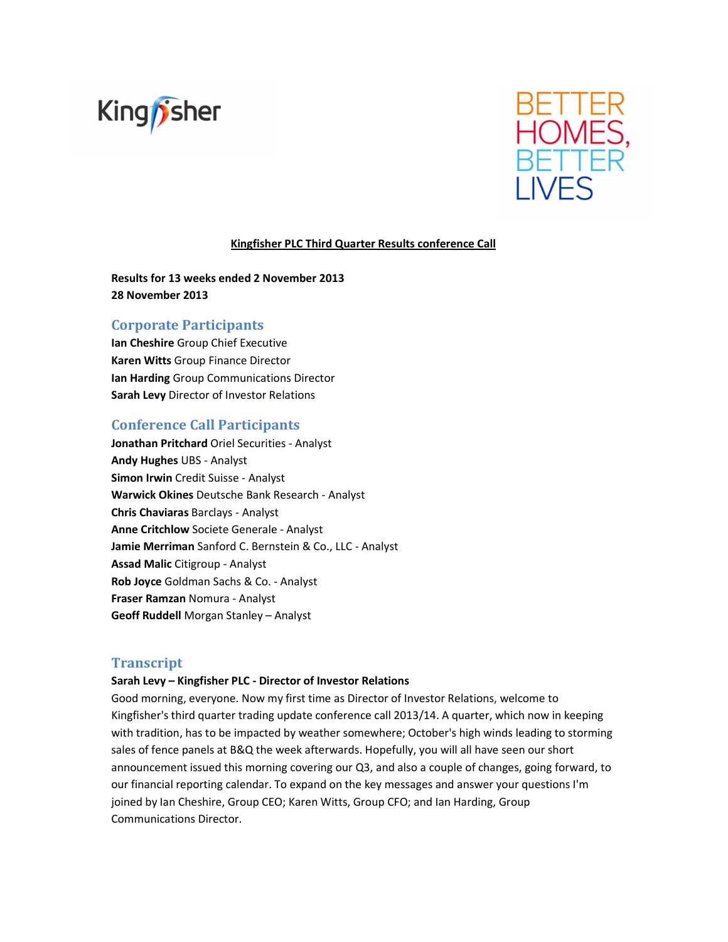



# **Kingfisher PLC Third Quarter Results conference Call**

**Results for 13 weeks ended 2 November 2013 28 November 2013** 

# **Corporate Participants**

**Ian Cheshire** Group Chief Executive **Karen Witts** Group Finance Director **Ian Harding** Group Communications Director **Sarah Levy** Director of Investor Relations

# **Conference Call Participants**

**Jonathan Pritchard** Oriel Securities - Analyst **Andy Hughes** UBS - Analyst **Simon Irwin** Credit Suisse - Analyst **Warwick Okines** Deutsche Bank Research - Analyst **Chris Chaviaras** Barclays - Analyst **Anne Critchlow** Societe Generale - Analyst **Jamie Merriman** Sanford C. Bernstein & Co., LLC - Analyst **Assad Malic** Citigroup - Analyst **Rob Joyce** Goldman Sachs & Co. - Analyst **Fraser Ramzan** Nomura - Analyst **Geoff Ruddell** Morgan Stanley – Analyst

# **Transcript**

### **Sarah Levy – Kingfisher PLC - Director of Investor Relations**

Good morning, everyone. Now my first time as Director of Investor Relations, welcome to Kingfisher's third quarter trading update conference call 2013/14. A quarter, which now in keeping with tradition, has to be impacted by weather somewhere; October's high winds leading to storming sales of fence panels at B&Q the week afterwards. Hopefully, you will all have seen our short announcement issued this morning covering our Q3, and also a couple of changes, going forward, to our financial reporting calendar. To expand on the key messages and answer your questions I'm joined by Ian Cheshire, Group CEO; Karen Witts, Group CFO; and Ian Harding, Group Communications Director.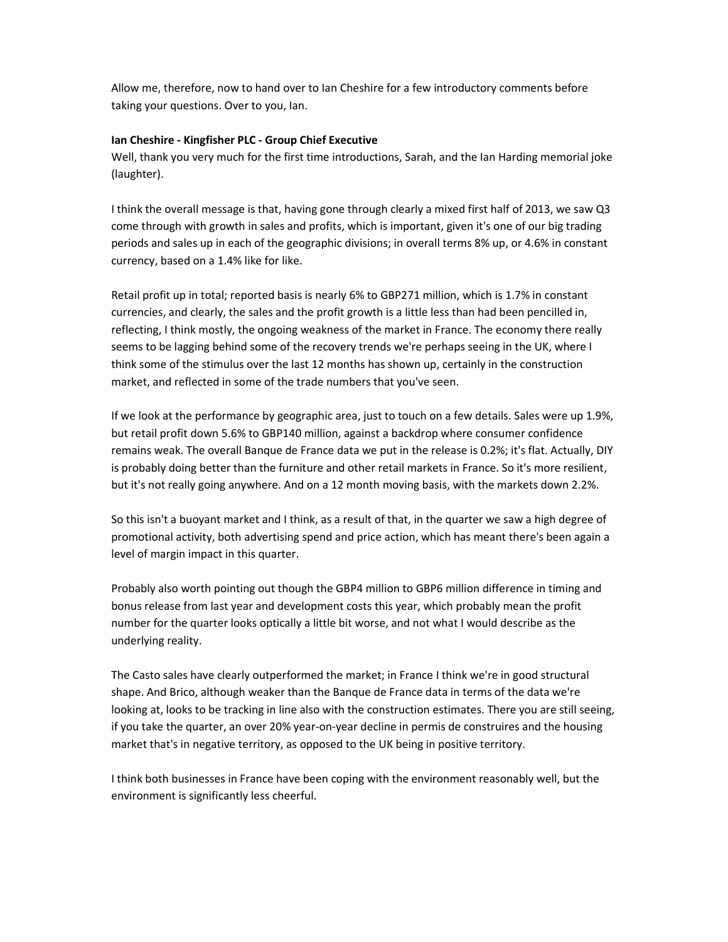Allow me, therefore, now to hand over to Ian Cheshire for a few introductory comments before taking your questions. Over to you, Ian.

### **Ian Cheshire - Kingfisher PLC - Group Chief Executive**

Well, thank you very much for the first time introductions, Sarah, and the Ian Harding memorial joke (laughter).

I think the overall message is that, having gone through clearly a mixed first half of 2013, we saw Q3 come through with growth in sales and profits, which is important, given it's one of our big trading periods and sales up in each of the geographic divisions; in overall terms 8% up, or 4.6% in constant currency, based on a 1.4% like for like.

Retail profit up in total; reported basis is nearly 6% to GBP271 million, which is 1.7% in constant currencies, and clearly, the sales and the profit growth is a little less than had been pencilled in, reflecting, I think mostly, the ongoing weakness of the market in France. The economy there really seems to be lagging behind some of the recovery trends we're perhaps seeing in the UK, where I think some of the stimulus over the last 12 months has shown up, certainly in the construction market, and reflected in some of the trade numbers that you've seen.

If we look at the performance by geographic area, just to touch on a few details. Sales were up 1.9%, but retail profit down 5.6% to GBP140 million, against a backdrop where consumer confidence remains weak. The overall Banque de France data we put in the release is 0.2%; it's flat. Actually, DIY is probably doing better than the furniture and other retail markets in France. So it's more resilient, but it's not really going anywhere. And on a 12 month moving basis, with the markets down 2.2%.

So this isn't a buoyant market and I think, as a result of that, in the quarter we saw a high degree of promotional activity, both advertising spend and price action, which has meant there's been again a level of margin impact in this quarter.

Probably also worth pointing out though the GBP4 million to GBP6 million difference in timing and bonus release from last year and development costs this year, which probably mean the profit number for the quarter looks optically a little bit worse, and not what I would describe as the underlying reality.

The Casto sales have clearly outperformed the market; in France I think we're in good structural shape. And Brico, although weaker than the Banque de France data in terms of the data we're looking at, looks to be tracking in line also with the construction estimates. There you are still seeing, if you take the quarter, an over 20% year-on-year decline in permis de construires and the housing market that's in negative territory, as opposed to the UK being in positive territory.

I think both businesses in France have been coping with the environment reasonably well, but the environment is significantly less cheerful.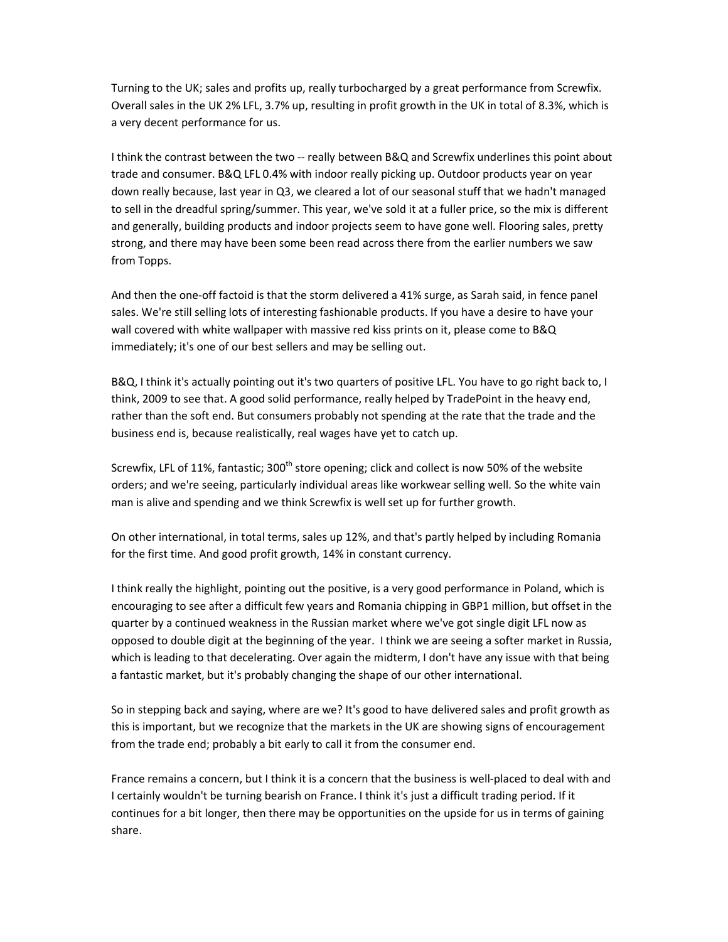Turning to the UK; sales and profits up, really turbocharged by a great performance from Screwfix. Overall sales in the UK 2% LFL, 3.7% up, resulting in profit growth in the UK in total of 8.3%, which is a very decent performance for us.

I think the contrast between the two -- really between B&Q and Screwfix underlines this point about trade and consumer. B&Q LFL 0.4% with indoor really picking up. Outdoor products year on year down really because, last year in Q3, we cleared a lot of our seasonal stuff that we hadn't managed to sell in the dreadful spring/summer. This year, we've sold it at a fuller price, so the mix is different and generally, building products and indoor projects seem to have gone well. Flooring sales, pretty strong, and there may have been some been read across there from the earlier numbers we saw from Topps.

And then the one-off factoid is that the storm delivered a 41% surge, as Sarah said, in fence panel sales. We're still selling lots of interesting fashionable products. If you have a desire to have your wall covered with white wallpaper with massive red kiss prints on it, please come to B&Q immediately; it's one of our best sellers and may be selling out.

B&Q, I think it's actually pointing out it's two quarters of positive LFL. You have to go right back to, I think, 2009 to see that. A good solid performance, really helped by TradePoint in the heavy end, rather than the soft end. But consumers probably not spending at the rate that the trade and the business end is, because realistically, real wages have yet to catch up.

Screwfix, LFL of 11%, fantastic; 300<sup>th</sup> store opening; click and collect is now 50% of the website orders; and we're seeing, particularly individual areas like workwear selling well. So the white vain man is alive and spending and we think Screwfix is well set up for further growth.

On other international, in total terms, sales up 12%, and that's partly helped by including Romania for the first time. And good profit growth, 14% in constant currency.

I think really the highlight, pointing out the positive, is a very good performance in Poland, which is encouraging to see after a difficult few years and Romania chipping in GBP1 million, but offset in the quarter by a continued weakness in the Russian market where we've got single digit LFL now as opposed to double digit at the beginning of the year. I think we are seeing a softer market in Russia, which is leading to that decelerating. Over again the midterm, I don't have any issue with that being a fantastic market, but it's probably changing the shape of our other international.

So in stepping back and saying, where are we? It's good to have delivered sales and profit growth as this is important, but we recognize that the markets in the UK are showing signs of encouragement from the trade end; probably a bit early to call it from the consumer end.

France remains a concern, but I think it is a concern that the business is well-placed to deal with and I certainly wouldn't be turning bearish on France. I think it's just a difficult trading period. If it continues for a bit longer, then there may be opportunities on the upside for us in terms of gaining share.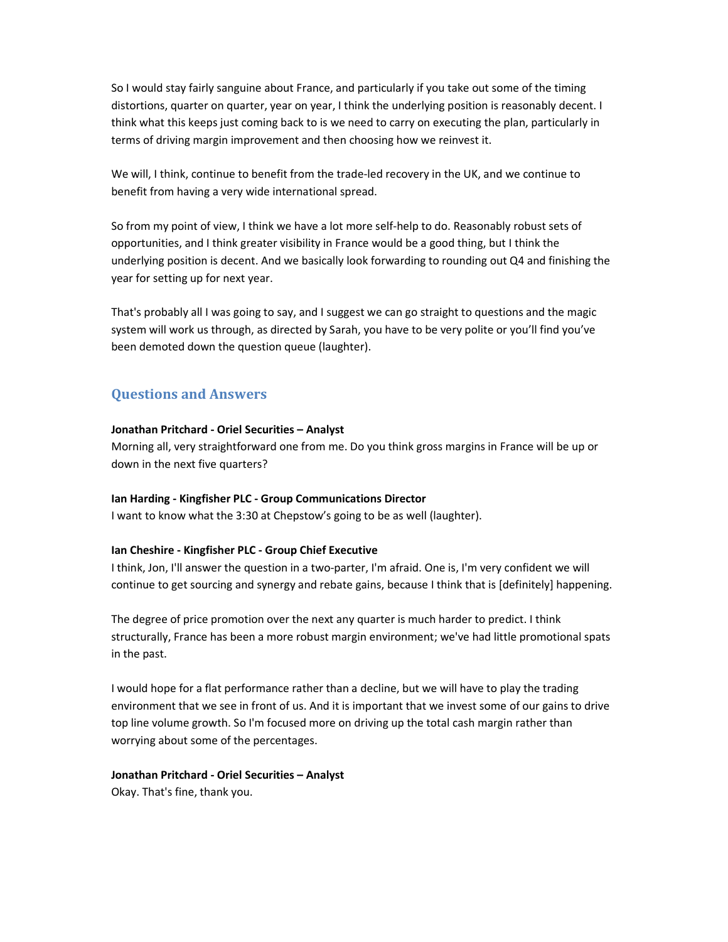So I would stay fairly sanguine about France, and particularly if you take out some of the timing distortions, quarter on quarter, year on year, I think the underlying position is reasonably decent. I think what this keeps just coming back to is we need to carry on executing the plan, particularly in terms of driving margin improvement and then choosing how we reinvest it.

We will, I think, continue to benefit from the trade-led recovery in the UK, and we continue to benefit from having a very wide international spread.

So from my point of view, I think we have a lot more self-help to do. Reasonably robust sets of opportunities, and I think greater visibility in France would be a good thing, but I think the underlying position is decent. And we basically look forwarding to rounding out Q4 and finishing the year for setting up for next year.

That's probably all I was going to say, and I suggest we can go straight to questions and the magic system will work us through, as directed by Sarah, you have to be very polite or you'll find you've been demoted down the question queue (laughter).

# **Questions and Answers**

#### **Jonathan Pritchard - Oriel Securities – Analyst**

Morning all, very straightforward one from me. Do you think gross margins in France will be up or down in the next five quarters?

#### **Ian Harding - Kingfisher PLC - Group Communications Director**

I want to know what the 3:30 at Chepstow's going to be as well (laughter).

### **Ian Cheshire - Kingfisher PLC - Group Chief Executive**

I think, Jon, I'll answer the question in a two-parter, I'm afraid. One is, I'm very confident we will continue to get sourcing and synergy and rebate gains, because I think that is [definitely] happening.

The degree of price promotion over the next any quarter is much harder to predict. I think structurally, France has been a more robust margin environment; we've had little promotional spats in the past.

I would hope for a flat performance rather than a decline, but we will have to play the trading environment that we see in front of us. And it is important that we invest some of our gains to drive top line volume growth. So I'm focused more on driving up the total cash margin rather than worrying about some of the percentages.

#### **Jonathan Pritchard - Oriel Securities – Analyst**

Okay. That's fine, thank you.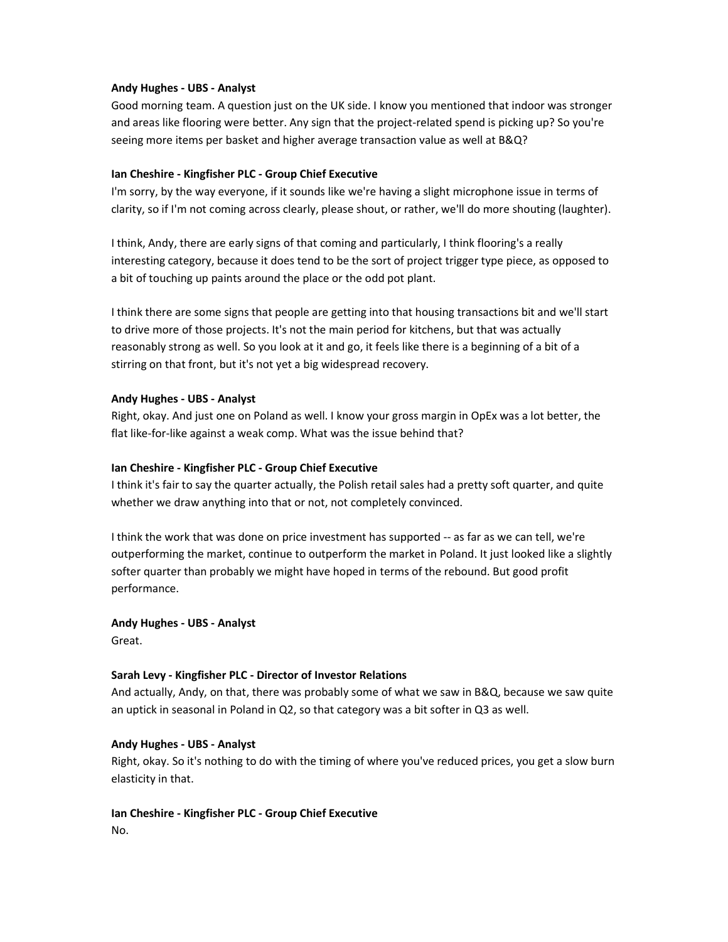### **Andy Hughes - UBS - Analyst**

Good morning team. A question just on the UK side. I know you mentioned that indoor was stronger and areas like flooring were better. Any sign that the project-related spend is picking up? So you're seeing more items per basket and higher average transaction value as well at B&Q?

# **Ian Cheshire - Kingfisher PLC - Group Chief Executive**

I'm sorry, by the way everyone, if it sounds like we're having a slight microphone issue in terms of clarity, so if I'm not coming across clearly, please shout, or rather, we'll do more shouting (laughter).

I think, Andy, there are early signs of that coming and particularly, I think flooring's a really interesting category, because it does tend to be the sort of project trigger type piece, as opposed to a bit of touching up paints around the place or the odd pot plant.

I think there are some signs that people are getting into that housing transactions bit and we'll start to drive more of those projects. It's not the main period for kitchens, but that was actually reasonably strong as well. So you look at it and go, it feels like there is a beginning of a bit of a stirring on that front, but it's not yet a big widespread recovery.

# **Andy Hughes - UBS - Analyst**

Right, okay. And just one on Poland as well. I know your gross margin in OpEx was a lot better, the flat like-for-like against a weak comp. What was the issue behind that?

### **Ian Cheshire - Kingfisher PLC - Group Chief Executive**

I think it's fair to say the quarter actually, the Polish retail sales had a pretty soft quarter, and quite whether we draw anything into that or not, not completely convinced.

I think the work that was done on price investment has supported -- as far as we can tell, we're outperforming the market, continue to outperform the market in Poland. It just looked like a slightly softer quarter than probably we might have hoped in terms of the rebound. But good profit performance.

#### **Andy Hughes - UBS - Analyst**

Great.

# **Sarah Levy - Kingfisher PLC - Director of Investor Relations**

And actually, Andy, on that, there was probably some of what we saw in B&Q, because we saw quite an uptick in seasonal in Poland in Q2, so that category was a bit softer in Q3 as well.

### **Andy Hughes - UBS - Analyst**

Right, okay. So it's nothing to do with the timing of where you've reduced prices, you get a slow burn elasticity in that.

### **Ian Cheshire - Kingfisher PLC - Group Chief Executive**  No.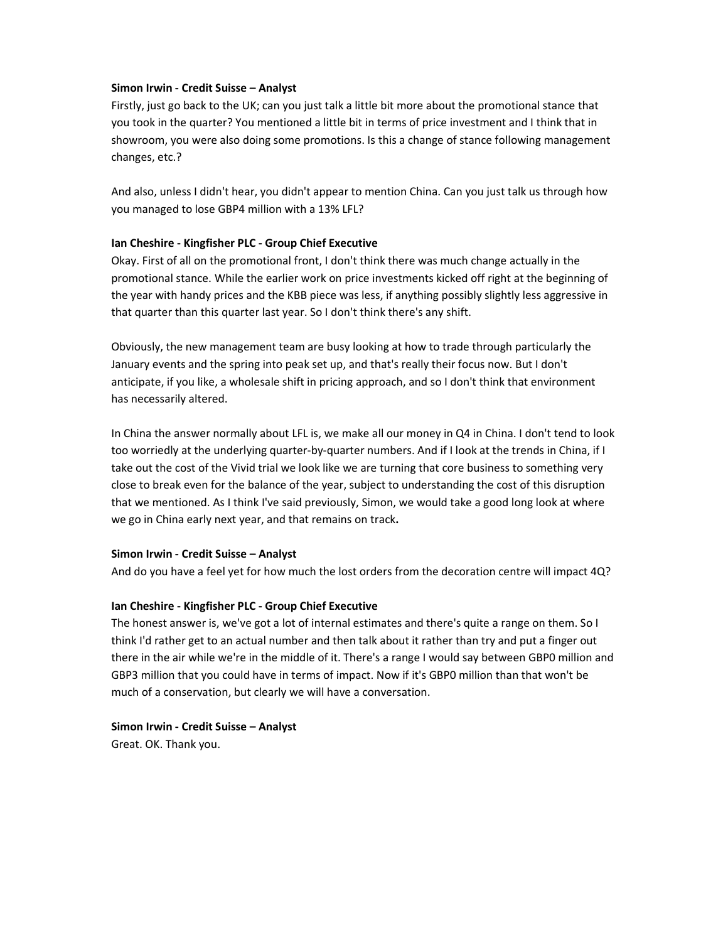### **Simon Irwin - Credit Suisse – Analyst**

Firstly, just go back to the UK; can you just talk a little bit more about the promotional stance that you took in the quarter? You mentioned a little bit in terms of price investment and I think that in showroom, you were also doing some promotions. Is this a change of stance following management changes, etc.?

And also, unless I didn't hear, you didn't appear to mention China. Can you just talk us through how you managed to lose GBP4 million with a 13% LFL?

# **Ian Cheshire - Kingfisher PLC - Group Chief Executive**

Okay. First of all on the promotional front, I don't think there was much change actually in the promotional stance. While the earlier work on price investments kicked off right at the beginning of the year with handy prices and the KBB piece was less, if anything possibly slightly less aggressive in that quarter than this quarter last year. So I don't think there's any shift.

Obviously, the new management team are busy looking at how to trade through particularly the January events and the spring into peak set up, and that's really their focus now. But I don't anticipate, if you like, a wholesale shift in pricing approach, and so I don't think that environment has necessarily altered.

In China the answer normally about LFL is, we make all our money in Q4 in China. I don't tend to look too worriedly at the underlying quarter-by-quarter numbers. And if I look at the trends in China, if I take out the cost of the Vivid trial we look like we are turning that core business to something very close to break even for the balance of the year, subject to understanding the cost of this disruption that we mentioned. As I think I've said previously, Simon, we would take a good long look at where we go in China early next year, and that remains on track**.** 

#### **Simon Irwin - Credit Suisse – Analyst**

And do you have a feel yet for how much the lost orders from the decoration centre will impact 4Q?

# **Ian Cheshire - Kingfisher PLC - Group Chief Executive**

The honest answer is, we've got a lot of internal estimates and there's quite a range on them. So I think I'd rather get to an actual number and then talk about it rather than try and put a finger out there in the air while we're in the middle of it. There's a range I would say between GBP0 million and GBP3 million that you could have in terms of impact. Now if it's GBP0 million than that won't be much of a conservation, but clearly we will have a conversation.

# **Simon Irwin - Credit Suisse – Analyst**

Great. OK. Thank you.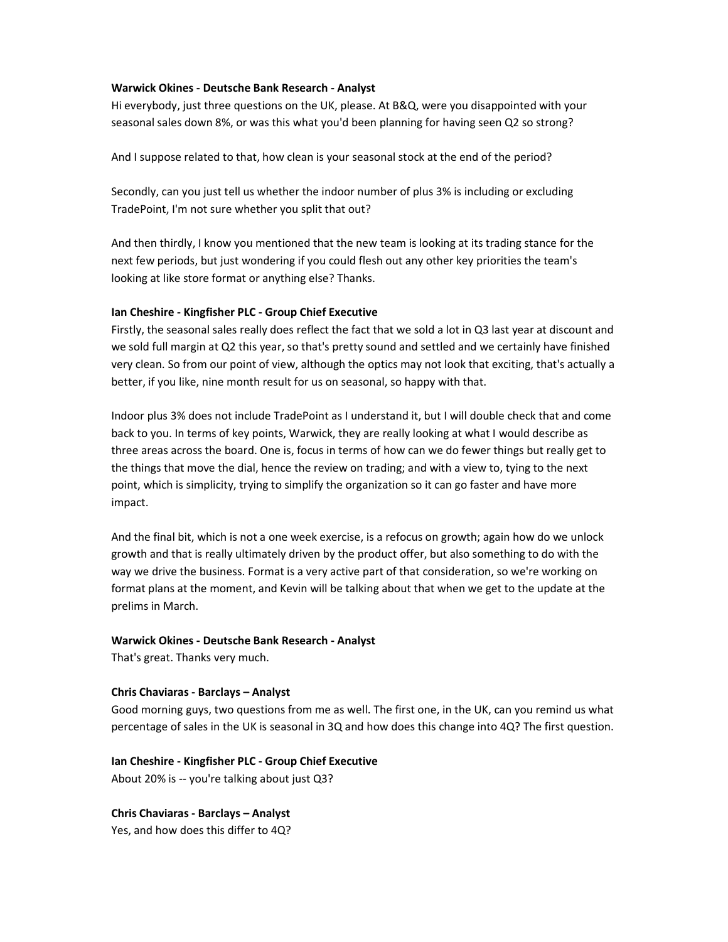### **Warwick Okines - Deutsche Bank Research - Analyst**

Hi everybody, just three questions on the UK, please. At B&Q, were you disappointed with your seasonal sales down 8%, or was this what you'd been planning for having seen Q2 so strong?

And I suppose related to that, how clean is your seasonal stock at the end of the period?

Secondly, can you just tell us whether the indoor number of plus 3% is including or excluding TradePoint, I'm not sure whether you split that out?

And then thirdly, I know you mentioned that the new team is looking at its trading stance for the next few periods, but just wondering if you could flesh out any other key priorities the team's looking at like store format or anything else? Thanks.

# **Ian Cheshire - Kingfisher PLC - Group Chief Executive**

Firstly, the seasonal sales really does reflect the fact that we sold a lot in Q3 last year at discount and we sold full margin at Q2 this year, so that's pretty sound and settled and we certainly have finished very clean. So from our point of view, although the optics may not look that exciting, that's actually a better, if you like, nine month result for us on seasonal, so happy with that.

Indoor plus 3% does not include TradePoint as I understand it, but I will double check that and come back to you. In terms of key points, Warwick, they are really looking at what I would describe as three areas across the board. One is, focus in terms of how can we do fewer things but really get to the things that move the dial, hence the review on trading; and with a view to, tying to the next point, which is simplicity, trying to simplify the organization so it can go faster and have more impact.

And the final bit, which is not a one week exercise, is a refocus on growth; again how do we unlock growth and that is really ultimately driven by the product offer, but also something to do with the way we drive the business. Format is a very active part of that consideration, so we're working on format plans at the moment, and Kevin will be talking about that when we get to the update at the prelims in March.

# **Warwick Okines - Deutsche Bank Research - Analyst**

That's great. Thanks very much.

#### **Chris Chaviaras - Barclays – Analyst**

Good morning guys, two questions from me as well. The first one, in the UK, can you remind us what percentage of sales in the UK is seasonal in 3Q and how does this change into 4Q? The first question.

#### **Ian Cheshire - Kingfisher PLC - Group Chief Executive**

About 20% is -- you're talking about just Q3?

**Chris Chaviaras - Barclays – Analyst** 

Yes, and how does this differ to 4Q?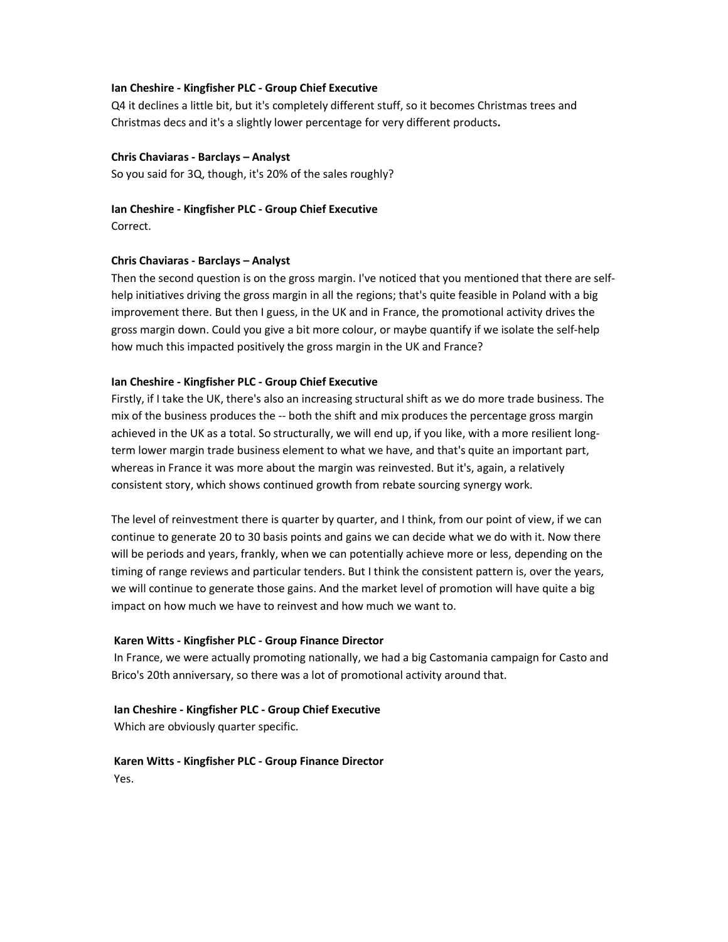### **Ian Cheshire - Kingfisher PLC - Group Chief Executive**

Q4 it declines a little bit, but it's completely different stuff, so it becomes Christmas trees and Christmas decs and it's a slightly lower percentage for very different products**.** 

### **Chris Chaviaras - Barclays – Analyst**

So you said for 3Q, though, it's 20% of the sales roughly?

### **Ian Cheshire - Kingfisher PLC - Group Chief Executive**

Correct.

# **Chris Chaviaras - Barclays – Analyst**

Then the second question is on the gross margin. I've noticed that you mentioned that there are selfhelp initiatives driving the gross margin in all the regions; that's quite feasible in Poland with a big improvement there. But then I guess, in the UK and in France, the promotional activity drives the gross margin down. Could you give a bit more colour, or maybe quantify if we isolate the self-help how much this impacted positively the gross margin in the UK and France?

### **Ian Cheshire - Kingfisher PLC - Group Chief Executive**

Firstly, if I take the UK, there's also an increasing structural shift as we do more trade business. The mix of the business produces the -- both the shift and mix produces the percentage gross margin achieved in the UK as a total. So structurally, we will end up, if you like, with a more resilient longterm lower margin trade business element to what we have, and that's quite an important part, whereas in France it was more about the margin was reinvested. But it's, again, a relatively consistent story, which shows continued growth from rebate sourcing synergy work.

The level of reinvestment there is quarter by quarter, and I think, from our point of view, if we can continue to generate 20 to 30 basis points and gains we can decide what we do with it. Now there will be periods and years, frankly, when we can potentially achieve more or less, depending on the timing of range reviews and particular tenders. But I think the consistent pattern is, over the years, we will continue to generate those gains. And the market level of promotion will have quite a big impact on how much we have to reinvest and how much we want to.

# **Karen Witts - Kingfisher PLC - Group Finance Director**

 In France, we were actually promoting nationally, we had a big Castomania campaign for Casto and Brico's 20th anniversary, so there was a lot of promotional activity around that.

# **Ian Cheshire - Kingfisher PLC - Group Chief Executive**

Which are obviously quarter specific.

 **Karen Witts - Kingfisher PLC - Group Finance Director**  Yes.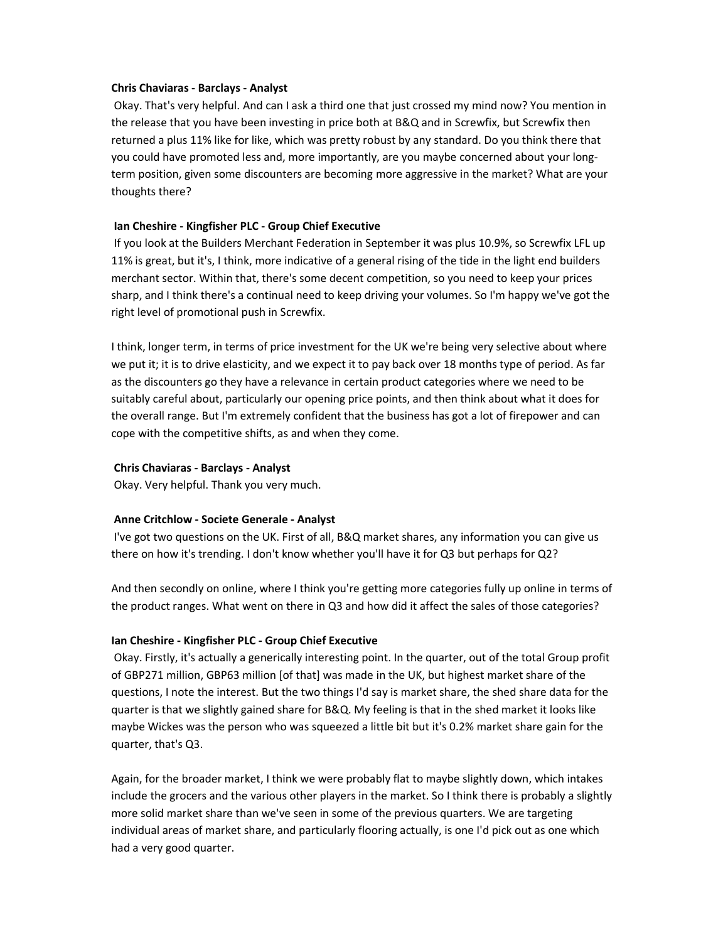#### **Chris Chaviaras - Barclays - Analyst**

 Okay. That's very helpful. And can I ask a third one that just crossed my mind now? You mention in the release that you have been investing in price both at B&Q and in Screwfix, but Screwfix then returned a plus 11% like for like, which was pretty robust by any standard. Do you think there that you could have promoted less and, more importantly, are you maybe concerned about your longterm position, given some discounters are becoming more aggressive in the market? What are your thoughts there?

# **Ian Cheshire - Kingfisher PLC - Group Chief Executive**

 If you look at the Builders Merchant Federation in September it was plus 10.9%, so Screwfix LFL up 11% is great, but it's, I think, more indicative of a general rising of the tide in the light end builders merchant sector. Within that, there's some decent competition, so you need to keep your prices sharp, and I think there's a continual need to keep driving your volumes. So I'm happy we've got the right level of promotional push in Screwfix.

I think, longer term, in terms of price investment for the UK we're being very selective about where we put it; it is to drive elasticity, and we expect it to pay back over 18 months type of period. As far as the discounters go they have a relevance in certain product categories where we need to be suitably careful about, particularly our opening price points, and then think about what it does for the overall range. But I'm extremely confident that the business has got a lot of firepower and can cope with the competitive shifts, as and when they come.

# **Chris Chaviaras - Barclays - Analyst**

Okay. Very helpful. Thank you very much.

# **Anne Critchlow - Societe Generale - Analyst**

 I've got two questions on the UK. First of all, B&Q market shares, any information you can give us there on how it's trending. I don't know whether you'll have it for Q3 but perhaps for Q2?

And then secondly on online, where I think you're getting more categories fully up online in terms of the product ranges. What went on there in Q3 and how did it affect the sales of those categories?

# **Ian Cheshire - Kingfisher PLC - Group Chief Executive**

 Okay. Firstly, it's actually a generically interesting point. In the quarter, out of the total Group profit of GBP271 million, GBP63 million [of that] was made in the UK, but highest market share of the questions, I note the interest. But the two things I'd say is market share, the shed share data for the quarter is that we slightly gained share for B&Q. My feeling is that in the shed market it looks like maybe Wickes was the person who was squeezed a little bit but it's 0.2% market share gain for the quarter, that's Q3.

Again, for the broader market, I think we were probably flat to maybe slightly down, which intakes include the grocers and the various other players in the market. So I think there is probably a slightly more solid market share than we've seen in some of the previous quarters. We are targeting individual areas of market share, and particularly flooring actually, is one I'd pick out as one which had a very good quarter.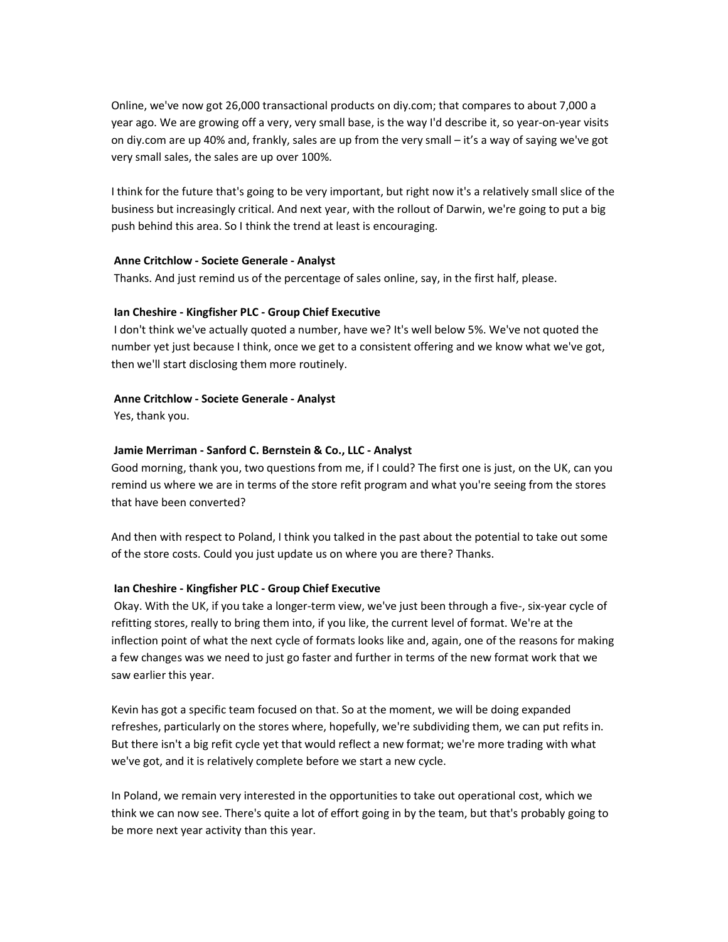Online, we've now got 26,000 transactional products on diy.com; that compares to about 7,000 a year ago. We are growing off a very, very small base, is the way I'd describe it, so year-on-year visits on diy.com are up 40% and, frankly, sales are up from the very small – it's a way of saying we've got very small sales, the sales are up over 100%.

I think for the future that's going to be very important, but right now it's a relatively small slice of the business but increasingly critical. And next year, with the rollout of Darwin, we're going to put a big push behind this area. So I think the trend at least is encouraging.

# **Anne Critchlow - Societe Generale - Analyst**

Thanks. And just remind us of the percentage of sales online, say, in the first half, please.

### **Ian Cheshire - Kingfisher PLC - Group Chief Executive**

 I don't think we've actually quoted a number, have we? It's well below 5%. We've not quoted the number yet just because I think, once we get to a consistent offering and we know what we've got, then we'll start disclosing them more routinely.

#### **Anne Critchlow - Societe Generale - Analyst**

Yes, thank you.

### **Jamie Merriman - Sanford C. Bernstein & Co., LLC - Analyst**

Good morning, thank you, two questions from me, if I could? The first one is just, on the UK, can you remind us where we are in terms of the store refit program and what you're seeing from the stores that have been converted?

And then with respect to Poland, I think you talked in the past about the potential to take out some of the store costs. Could you just update us on where you are there? Thanks.

#### **Ian Cheshire - Kingfisher PLC - Group Chief Executive**

 Okay. With the UK, if you take a longer-term view, we've just been through a five-, six-year cycle of refitting stores, really to bring them into, if you like, the current level of format. We're at the inflection point of what the next cycle of formats looks like and, again, one of the reasons for making a few changes was we need to just go faster and further in terms of the new format work that we saw earlier this year.

Kevin has got a specific team focused on that. So at the moment, we will be doing expanded refreshes, particularly on the stores where, hopefully, we're subdividing them, we can put refits in. But there isn't a big refit cycle yet that would reflect a new format; we're more trading with what we've got, and it is relatively complete before we start a new cycle.

In Poland, we remain very interested in the opportunities to take out operational cost, which we think we can now see. There's quite a lot of effort going in by the team, but that's probably going to be more next year activity than this year.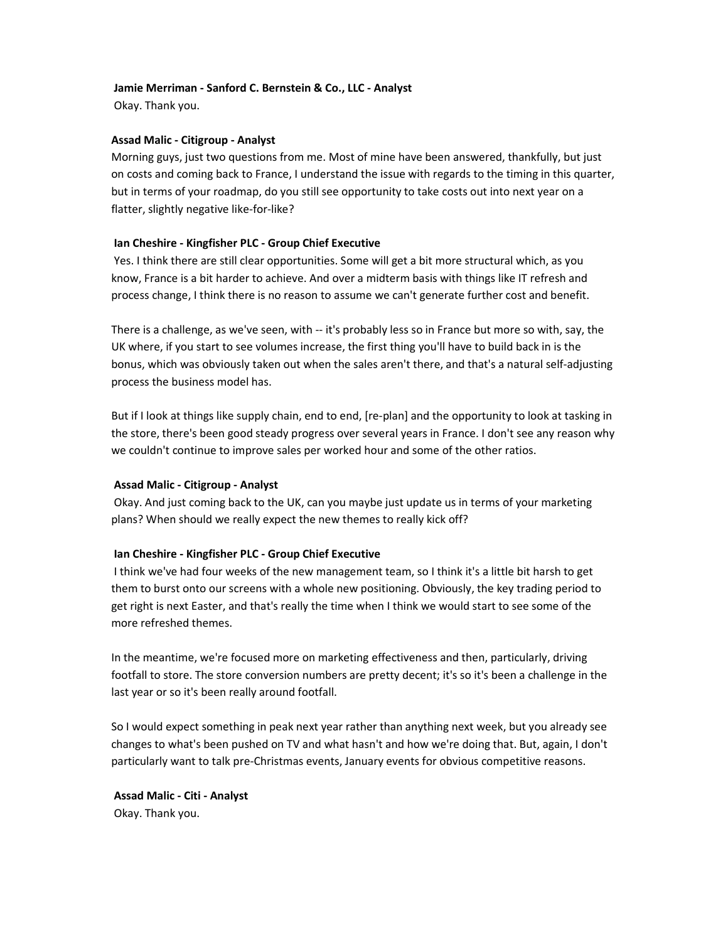# **Jamie Merriman - Sanford C. Bernstein & Co., LLC - Analyst**

Okay. Thank you.

### **Assad Malic - Citigroup - Analyst**

Morning guys, just two questions from me. Most of mine have been answered, thankfully, but just on costs and coming back to France, I understand the issue with regards to the timing in this quarter, but in terms of your roadmap, do you still see opportunity to take costs out into next year on a flatter, slightly negative like-for-like?

### **Ian Cheshire - Kingfisher PLC - Group Chief Executive**

 Yes. I think there are still clear opportunities. Some will get a bit more structural which, as you know, France is a bit harder to achieve. And over a midterm basis with things like IT refresh and process change, I think there is no reason to assume we can't generate further cost and benefit.

There is a challenge, as we've seen, with -- it's probably less so in France but more so with, say, the UK where, if you start to see volumes increase, the first thing you'll have to build back in is the bonus, which was obviously taken out when the sales aren't there, and that's a natural self-adjusting process the business model has.

But if I look at things like supply chain, end to end, [re-plan] and the opportunity to look at tasking in the store, there's been good steady progress over several years in France. I don't see any reason why we couldn't continue to improve sales per worked hour and some of the other ratios.

#### **Assad Malic - Citigroup - Analyst**

 Okay. And just coming back to the UK, can you maybe just update us in terms of your marketing plans? When should we really expect the new themes to really kick off?

### **Ian Cheshire - Kingfisher PLC - Group Chief Executive**

 I think we've had four weeks of the new management team, so I think it's a little bit harsh to get them to burst onto our screens with a whole new positioning. Obviously, the key trading period to get right is next Easter, and that's really the time when I think we would start to see some of the more refreshed themes.

In the meantime, we're focused more on marketing effectiveness and then, particularly, driving footfall to store. The store conversion numbers are pretty decent; it's so it's been a challenge in the last year or so it's been really around footfall.

So I would expect something in peak next year rather than anything next week, but you already see changes to what's been pushed on TV and what hasn't and how we're doing that. But, again, I don't particularly want to talk pre-Christmas events, January events for obvious competitive reasons.

 **Assad Malic - Citi - Analyst**  Okay. Thank you.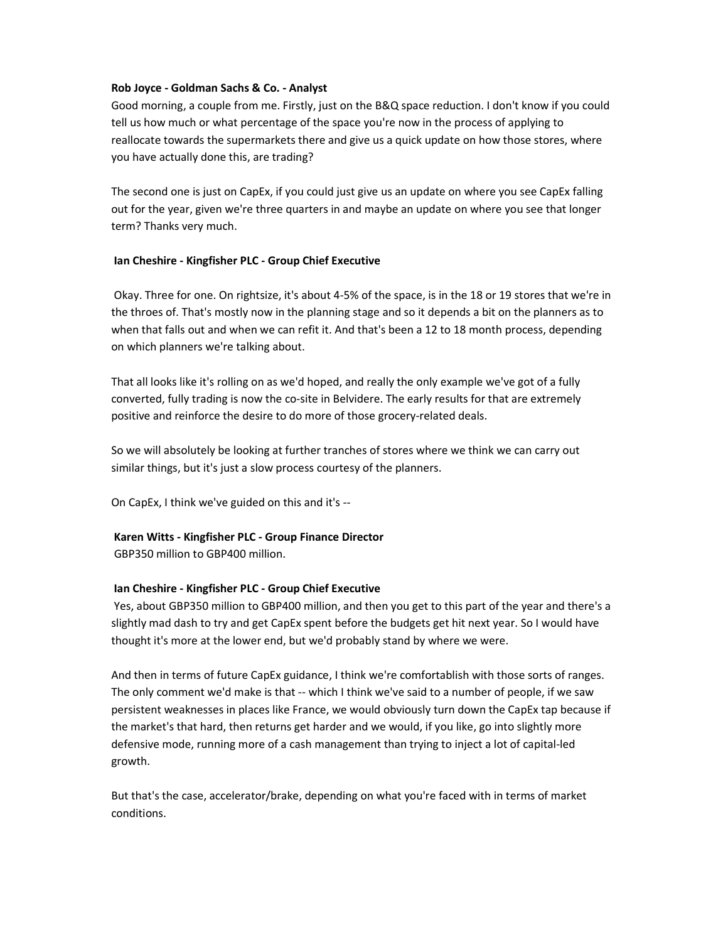# **Rob Joyce - Goldman Sachs & Co. - Analyst**

Good morning, a couple from me. Firstly, just on the B&Q space reduction. I don't know if you could tell us how much or what percentage of the space you're now in the process of applying to reallocate towards the supermarkets there and give us a quick update on how those stores, where you have actually done this, are trading?

The second one is just on CapEx, if you could just give us an update on where you see CapEx falling out for the year, given we're three quarters in and maybe an update on where you see that longer term? Thanks very much.

# **Ian Cheshire - Kingfisher PLC - Group Chief Executive**

 Okay. Three for one. On rightsize, it's about 4-5% of the space, is in the 18 or 19 stores that we're in the throes of. That's mostly now in the planning stage and so it depends a bit on the planners as to when that falls out and when we can refit it. And that's been a 12 to 18 month process, depending on which planners we're talking about.

That all looks like it's rolling on as we'd hoped, and really the only example we've got of a fully converted, fully trading is now the co-site in Belvidere. The early results for that are extremely positive and reinforce the desire to do more of those grocery-related deals.

So we will absolutely be looking at further tranches of stores where we think we can carry out similar things, but it's just a slow process courtesy of the planners.

On CapEx, I think we've guided on this and it's --

# **Karen Witts - Kingfisher PLC - Group Finance Director**

GBP350 million to GBP400 million.

# **Ian Cheshire - Kingfisher PLC - Group Chief Executive**

 Yes, about GBP350 million to GBP400 million, and then you get to this part of the year and there's a slightly mad dash to try and get CapEx spent before the budgets get hit next year. So I would have thought it's more at the lower end, but we'd probably stand by where we were.

And then in terms of future CapEx guidance, I think we're comfortablish with those sorts of ranges. The only comment we'd make is that -- which I think we've said to a number of people, if we saw persistent weaknesses in places like France, we would obviously turn down the CapEx tap because if the market's that hard, then returns get harder and we would, if you like, go into slightly more defensive mode, running more of a cash management than trying to inject a lot of capital-led growth.

But that's the case, accelerator/brake, depending on what you're faced with in terms of market conditions.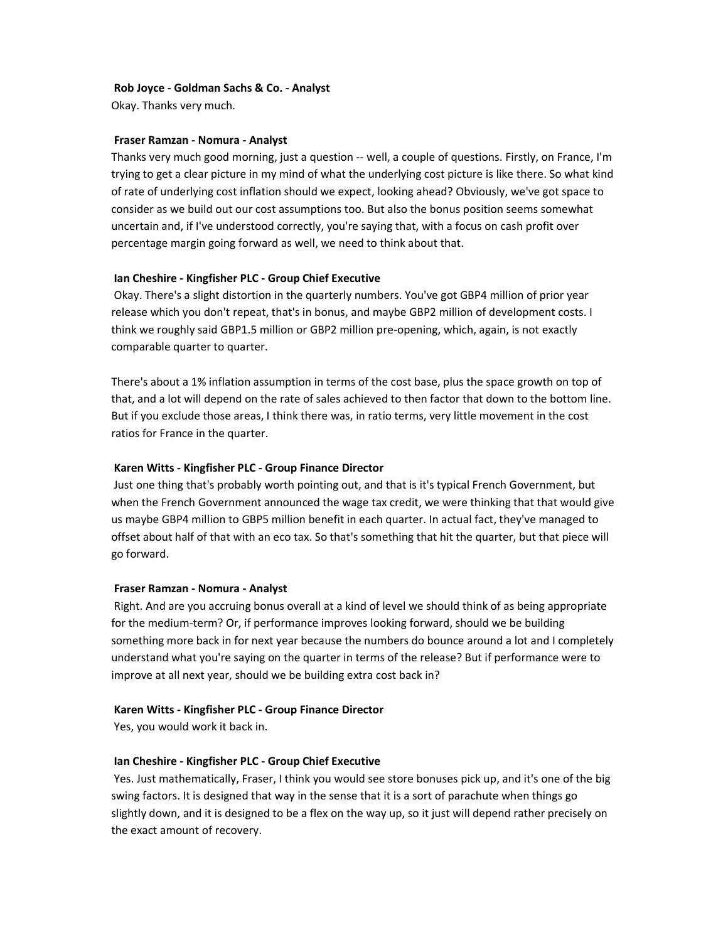### **Rob Joyce - Goldman Sachs & Co. - Analyst**

Okay. Thanks very much.

### **Fraser Ramzan - Nomura - Analyst**

Thanks very much good morning, just a question -- well, a couple of questions. Firstly, on France, I'm trying to get a clear picture in my mind of what the underlying cost picture is like there. So what kind of rate of underlying cost inflation should we expect, looking ahead? Obviously, we've got space to consider as we build out our cost assumptions too. But also the bonus position seems somewhat uncertain and, if I've understood correctly, you're saying that, with a focus on cash profit over percentage margin going forward as well, we need to think about that.

### **Ian Cheshire - Kingfisher PLC - Group Chief Executive**

 Okay. There's a slight distortion in the quarterly numbers. You've got GBP4 million of prior year release which you don't repeat, that's in bonus, and maybe GBP2 million of development costs. I think we roughly said GBP1.5 million or GBP2 million pre-opening, which, again, is not exactly comparable quarter to quarter.

There's about a 1% inflation assumption in terms of the cost base, plus the space growth on top of that, and a lot will depend on the rate of sales achieved to then factor that down to the bottom line. But if you exclude those areas, I think there was, in ratio terms, very little movement in the cost ratios for France in the quarter.

### **Karen Witts - Kingfisher PLC - Group Finance Director**

 Just one thing that's probably worth pointing out, and that is it's typical French Government, but when the French Government announced the wage tax credit, we were thinking that that would give us maybe GBP4 million to GBP5 million benefit in each quarter. In actual fact, they've managed to offset about half of that with an eco tax. So that's something that hit the quarter, but that piece will go forward.

#### **Fraser Ramzan - Nomura - Analyst**

 Right. And are you accruing bonus overall at a kind of level we should think of as being appropriate for the medium-term? Or, if performance improves looking forward, should we be building something more back in for next year because the numbers do bounce around a lot and I completely understand what you're saying on the quarter in terms of the release? But if performance were to improve at all next year, should we be building extra cost back in?

#### **Karen Witts - Kingfisher PLC - Group Finance Director**

Yes, you would work it back in.

# **Ian Cheshire - Kingfisher PLC - Group Chief Executive**

 Yes. Just mathematically, Fraser, I think you would see store bonuses pick up, and it's one of the big swing factors. It is designed that way in the sense that it is a sort of parachute when things go slightly down, and it is designed to be a flex on the way up, so it just will depend rather precisely on the exact amount of recovery.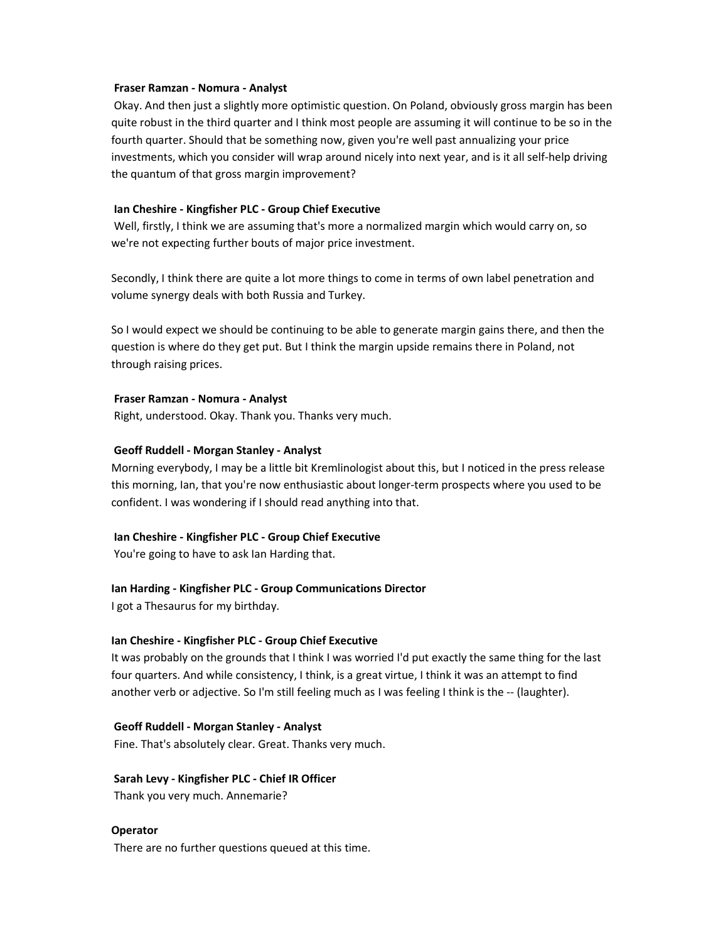#### **Fraser Ramzan - Nomura - Analyst**

 Okay. And then just a slightly more optimistic question. On Poland, obviously gross margin has been quite robust in the third quarter and I think most people are assuming it will continue to be so in the fourth quarter. Should that be something now, given you're well past annualizing your price investments, which you consider will wrap around nicely into next year, and is it all self-help driving the quantum of that gross margin improvement?

#### **Ian Cheshire - Kingfisher PLC - Group Chief Executive**

 Well, firstly, I think we are assuming that's more a normalized margin which would carry on, so we're not expecting further bouts of major price investment.

Secondly, I think there are quite a lot more things to come in terms of own label penetration and volume synergy deals with both Russia and Turkey.

So I would expect we should be continuing to be able to generate margin gains there, and then the question is where do they get put. But I think the margin upside remains there in Poland, not through raising prices.

#### **Fraser Ramzan - Nomura - Analyst**

Right, understood. Okay. Thank you. Thanks very much.

#### **Geoff Ruddell - Morgan Stanley - Analyst**

Morning everybody, I may be a little bit Kremlinologist about this, but I noticed in the press release this morning, Ian, that you're now enthusiastic about longer-term prospects where you used to be confident. I was wondering if I should read anything into that.

#### **Ian Cheshire - Kingfisher PLC - Group Chief Executive**

You're going to have to ask Ian Harding that.

#### **Ian Harding - Kingfisher PLC - Group Communications Director**

I got a Thesaurus for my birthday.

### **Ian Cheshire - Kingfisher PLC - Group Chief Executive**

It was probably on the grounds that I think I was worried I'd put exactly the same thing for the last four quarters. And while consistency, I think, is a great virtue, I think it was an attempt to find another verb or adjective. So I'm still feeling much as I was feeling I think is the -- (laughter).

#### **Geoff Ruddell - Morgan Stanley - Analyst**

Fine. That's absolutely clear. Great. Thanks very much.

### **Sarah Levy - Kingfisher PLC - Chief IR Officer**

Thank you very much. Annemarie?

#### **Operator**

There are no further questions queued at this time.